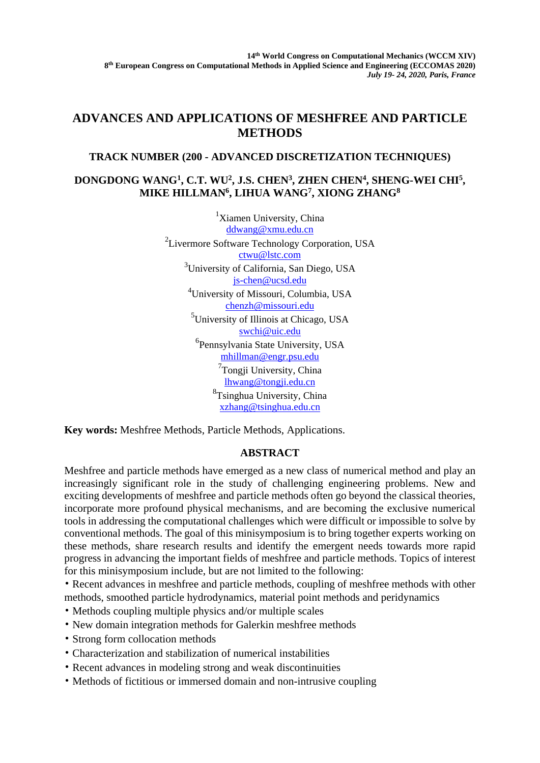## **ADVANCES AND APPLICATIONS OF MESHFREE AND PARTICLE METHODS**

## **TRACK NUMBER (200 - ADVANCED DISCRETIZATION TECHNIQUES)**

## **DONGDONG WANG1 , C.T. WU2, J.S. CHEN3 , ZHEN CHEN4 , SHENG-WEI CHI5 , MIKE HILLMAN6 , LIHUA WANG7, XIONG ZHANG8**

<sup>1</sup>Xiamen University, China ddwang@xmu.edu.cn 2 Livermore Software Technology Corporation, USA ctwu@lstc.com <sup>3</sup>University of California, San Diego, USA js-chen@ucsd.edu 4 University of Missouri, Columbia, USA chenzh@missouri.edu 5 University of Illinois at Chicago, USA swchi@uic.edu 6 Pennsylvania State University, USA mhillman@engr.psu.edu <sup>7</sup>Tongji University, China lhwang@tongji.edu.cn 8 Tsinghua University, China xzhang@tsinghua.edu.cn

**Key words:** Meshfree Methods, Particle Methods, Applications.

## **ABSTRACT**

Meshfree and particle methods have emerged as a new class of numerical method and play an increasingly significant role in the study of challenging engineering problems. New and exciting developments of meshfree and particle methods often go beyond the classical theories, incorporate more profound physical mechanisms, and are becoming the exclusive numerical tools in addressing the computational challenges which were difficult or impossible to solve by conventional methods. The goal of this minisymposium is to bring together experts working on these methods, share research results and identify the emergent needs towards more rapid progress in advancing the important fields of meshfree and particle methods. Topics of interest for this minisymposium include, but are not limited to the following:

• Recent advances in meshfree and particle methods, coupling of meshfree methods with other methods, smoothed particle hydrodynamics, material point methods and peridynamics

- Methods coupling multiple physics and/or multiple scales
- New domain integration methods for Galerkin meshfree methods
- Strong form collocation methods
- Characterization and stabilization of numerical instabilities
- Recent advances in modeling strong and weak discontinuities
- Methods of fictitious or immersed domain and non-intrusive coupling